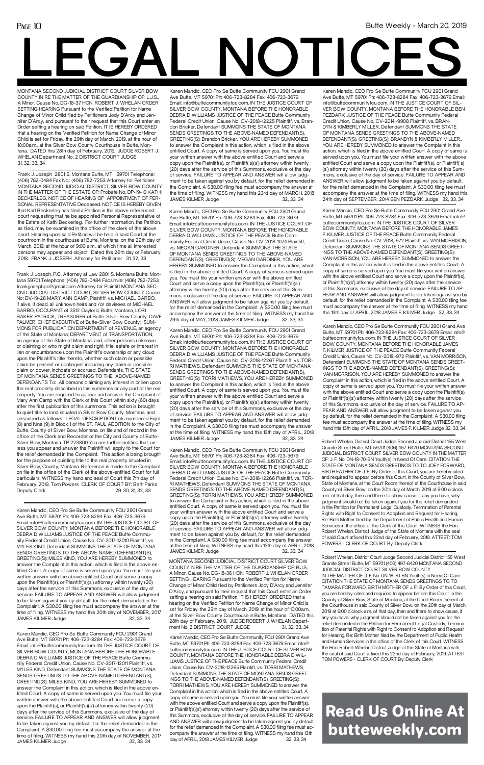# **LEGAL NOTICES**

# Read Us Online At butteweekly.com

Frank J. Joseph, P.C. Attorney at Law 2801 S. Montana Butte, Montana 59701 Telephone: (406) 782-0484 Facsimile: (406) 782-7253 frankjjosephpc@gmail.com Attorney for Plaintiff MONTANA SEC-OND JUDICIAL DISTRICT COURT, SILVER BOW COUNTY Cause No: DV-19-28 MARY ANN CAMP, Plaintiff, vs. MICHAEL BARBO, if alive, if dead, all unknown heirs and /or devisees of MICHAEL BARBO, OCCUPANT of 3512 Gaylord, Butte, Montana, LORI BAKER-PATRICK, TREASURER of Butte-Silver Bow County; DAVE PALMER, CHIEF EXECUTIVE of Butte-Silver Bow County; SUM-MONS FOR PUBLICATION DEPARTMENT of REVENUE, an agency of the State of Montana; DEPARTMENT of TRANSPORTATION, an agency of the State of Montana; and, other persons unknown or claiming or who might claim and right, title, estate or interest in lien or encumbrance upon the Plaintiff's ownership or any cloud upon the Plaintiff's title thereto, whether such claim or possible claim be present or contingent including any claim or possible claim or dower, inchoate or accrued, Defendants. THE STATE OF MONTANA SENDS GREETINGS TO THE ABOVE-NAMED DEFENDANTS To: All persons claiming any interest in or lien upon the real property described in this summons or any part of the real property. You are required to appear and answer the Complaint of Mary Ann Camp with the Clerk of this Court within sixty (60) days after the first publication of this summons. This action is brought to quiet title to land situated in Silver Bow County, Montana, and described as follows: LEGAL DESCRIPTION Lots numbered Eight (8) and Nine (9) in Block 1 of the ST. PAUL ADDITION to the City of Butte, County of Silver Bow, Montana, on file and of record in the office of the Clerk and Recorder of the City and County of Butte-Silver Bow, Montana. TP 223800 You are further notified that, unless you appear and answer the Plaintiff will apply to the Court for the relief demanded in the Complaint. This action is being brought for the purpose of quieting title to the real property situated in Silver Bow, County, Montana. Reference is made to the Complaint on file in the office of the Clerk of the above-entitled Court for full particulars. WITNESS my hand and seal of Court this 7th day of February, 2019. Tom Powers CLERK OF COURT BY: Beth Parks Deputy Clerk 29, 30, 31, 32, 33

> COUNTY IN RE THE MATTER OF THE GUARDIANSHIP OF: B.J.S., A Minor. Cause No. DG-18-36 HON. ROBERT J. WHELAN ORDER SETTING HEARING Pursuant to the Verified Petition for Name Change of Minor Child filed by Petitioners Jody D'Arcy and Jennifer D'Arcy, and pursuant to their request that this Court enter an Order setting a hearing on said Petition, IT IS HEREBY ORDERED that a hearing on the Verified Petition for Name Change of Minor Child is set for Friday, the 29th day of March, 2019, at the hour of 10:00a.m., at the Silver Bow County Courthouse in Butte, Montana. DATED this 28th day of February, 2019. JUDGE ROBERT J. WHELAN Department No. 2 DISTRICT COURT JUDGE 31, 32, 33, 34

Karen Mandic, CEO Pro Se Butte Community FCU 2901 Grand Ave Butte, MT 59701 Ph: 406-723-8284 Fax: 406-723-3679 Email: info@buttecommunityfcu.com. IN THE JUSTICE COURT OF SILVER BOW COUNTY, MONTANA BEFORE THE HONORABLE DEBRA D WILLIAMS JUSTICE OF THE PEACE Butte Community Federal Credit Union, Cause No. CV-2017-12010 Plaintiff, vs. MYLES KIND, Defendant SUMMONS THE STATE OF MONTANA SENDS GREETINGS TO THE ABOVE-NAMED DEFENDANT(S), GREETING(S): MILES KIND, YOU ARE HEREBY SUMMONED to answer the Complaint in this action, which is filed in the above entitled Court. A copy of same is served upon you. You must file your written answer with the above entitled Court and serve a copy upon the Plaintiff(s), or Plaintiff('s)(s') attorney within twenty (20) days after the service of this Summons, exclusive of the day of service. FAILURE TO APPEAR AND ANSWER will allow judgment to be taken against you by default, for the relief demanded in the Complaint. A \$30.00 filing fee must accompany the answer at the time of filing. WITNESS my hand this 20th day of NOVEMBER, 2017 JAMES KILMER Judge 32, 33, 34

Frank J. Joseph 2801 S. Montana Butte, MT 59701 Telephone: (406) 782-0484 Fax No.: (406) 782-7253 Attorney for Petitioner MONTANA SECOND JUDICIAL DISTRICT, SILVER BOW COUNTY IN THE MATTER OF THE ESTATE OF: Probate No. DP-19-10 KATHI BECKERLEG, NOTICE OF HEARING OF APPOINTMENT OF PER-SONAL REPRESENTATIVE Deceased. NOTICE IS HEREBY GIVEN that Karl Beckerleg has filed a Petition in the above referenced court requesting that he be appointed Personal Representative of the Estate of Kathi Beckerleg. For further information, the Petition, as filed, may be examined in the office of the clerk of the above court. Hearing upon said Petition will be held in said Court at the courtroom in the courthouse at Butte, Montana, on the 29th day of March, 2019, at the hour of 9:00 a.m., at which time all interested persons may appear and object. Dated this 26th day of February, 2018. FRANK J. JOSEPH Attorney for Petitioner 31, 32, 33

Karen Mandic, CEO Pro Se Butte Community FCU 2901 Grand Ave Butte, MT 59701 Ph: 406-723-8284 Fax: 406-723-3679 Email: info@buttecommunityfcu.com. IN THE JUSTICE COURT OF SILVER BOW COUNTY, MONTANA BEFORE THE HONORABLE DEBRA D WILLIAMS JUSTICE OF THE PEACE Butte Community Federal Credit Union, Cause No. CV-2018-12225 Plaintiff, vs. Brandon Bricker, Defendant SUMMONS THE STATE OF MONTANA SENDS GREETINGS TO THE ABOVE-NAMED DEFENDANT(S), GREETING(S): Brandon Bricker, YOU ARE HEREBY SUMMONED to answer the Complaint in this action, which is filed in the above entitled Court. A copy of same is served upon you. You must file your written answer with the above entitled Court and serve a copy upon the Plaintiff(s), or Plaintiff('s)(s') attorney within twenty (20) days after the service of this Summons, exclusive of the day of service. FAILURE TO APPEAR AND ANSWER will allow judgment to be taken against you by default, for the relief demanded in the Complaint. A \$30.00 filing fee must accompany the answer at the time of filing. WITNESS my hand this 23rd day of MARCH, 2018 JAMES KILMER Judge 32, 33, 34

MONTANA SECOND JUDICIAL DISTRICT COURT SILVER BOW

MONTANA SECOND JUDICIAL DISTRICT COURT SILVER BOW COUNTY IN RE THE MATTER OF THE GUARDIANSHIP OF: L.J.S. A Minor. Cause No. DG-18-37 HON. ROBERT J. WHELAN ORDER SETTING HEARING Pursuant to the Verified Petition for Name Change of Minor Child filed by Petitioners Jody D'Arcy and Jennifer D'Arcy, and pursuant to their request that this Court enter an Order setting a hearing on said Petition, IT IS HEREBY ORDERED that a hearing on the Verified Petition for Name Change of Minor Child is set for Friday, the 29th day of March, 2019, at the hour of 10:00a.m., at the Silver Bow County Courthouse in Butte, Montana. DATED this 28th day of February, 2019. JUDGE ROBERT J. WHELAN Department No. 2 DISTRICT COURT JUDGE 31, 32, 33, 34

> Karen Mandic, CEO Pro Se Butte Community FCU 2901 Grand Ave Butte, MT 59701 Ph: 406-723-8284 Fax: 406-723-3679 Email: info@buttecommunityfcu.com. IN THE JUSTICE COURT OF SILVER BOW COUNTY, MONTANA BEFORE THE HONORABLE DEBRA D WILLIAMS JUSTICE OF THE PEACE Butte Community Federal Credit Union, Cause No. CV-2018-12266 Plaintiff, vs. TOR-RI MATHEWS, Defendant SUMMONS THE STATE OF MONTANA SENDS GREETINGS TO THE ABOVE-NAMED DEFENDANT(S), GREETING(S): TORRI MATHEWS, YOU ARE HEREBY SUMMONED to answer the Complaint in this action, which is filed in the above entitled Court. A copy of same is served upon you. You must file your written answer with the above entitled Court and serve a copy upon the Plaintiff(s), or Plaintiff('s)(s') attorney within twenty (20) days after the service of this Summons, exclusive of the day of service. FAILURE TO APPEAR AND ANSWER will allow judgment to be taken against you by default, for the relief demanded in the Complaint. A \$30.00 filing fee must accompany the answer at the time of filing. WITNESS my hand this 13th day of APRIL, 2018 JAMES KILMER Judge

> Karen Mandic, CEO Pro Se Butte Community FCU 2901 Grand Ave Butte, MT 59701 Ph: 406-723-8284 Fax: 406-723-3679 Email: info@buttecommunityfcu.com. IN THE JUSTICE COURT OF SILVER BOW COUNTY, MONTANA BEFORE THE HONORABLE DEBRA D WILLIAMS JUSTICE OF THE PEACE Butte Community Federal Credit Union, Cause No. CV-2018-12267 Plaintiff, vs. TOR-RI MATHEWS, Defendant SUMMONS THE STATE OF MONTANA SENDS GREETINGS TO THE ABOVE-NAMED DEFENDANT(S), GREETING(S): TORRI MATHEWS, YOU ARE HEREBY SUMMONED to answer the Complaint in this action, which is filed in the above entitled Court. A copy of same is served upon you. You must file your written answer with the above entitled Court and serve a copy upon the Plaintiff(s), or Plaintiff('s)(s') attorney within twenty (20) days after the service of this Summons, exclusive of the day of service. FAILURE TO APPEAR AND ANSWER will allow judgment to be taken against you by default, for the relief demanded in the Complaint. A \$30.00 filing fee must accompany the answer at the time of filing. WITNESS my hand this 13th day of APRIL, 2018 JAMES KILMER Judge 32, 33, 34

> Karen Mandic, CEO Pro Se Butte Community FCU 2901 Grand Ave Butte, MT 59701 Ph: 406-723-8284 Fax: 406-723-3679 Email: info@ buttecommunityfcu.com. IN THE JUSTICE COURT OF SILVER BOW COUNTY, MONTANA BEFORE THE HONORABLE DEBRA D WIL-LIAMS JUSTICE OF THE PEACE Butte Community Federal Credit Union, Cause No. CV-2018-12265 Plaintiff, vs. TORRI MATHEWS, Defendant SUMMONS THE STATE OF MONTANA SENDS GREET-INGS TO THE ABOVE-NAMED DEFENDANT(S), GREETING(S): TORRI MATHEWS, YOU ARE HEREBY SUMMONED to answer the Complaint in this action, which is filed in the above entitled Court. A copy of same is served upon you. You must file your written answer with the above entitled Court and serve a copy upon the Plaintiff(s), or Plaintiff('s)(s') attorney within twenty (20) days after the service of this Summons, exclusive of the day of service. FAILURE TO APPEAR AND ANSWER will allow judgment to be taken against you by default, for the relief demanded in the Complaint. A \$30.00 filing fee must accompany the answer at the time of filing. WITNESS my hand this 13th day of APRIL, 2018 JAMES KILMER Judge 32, 33, 34

> Karen Mandic, CEO Pro Se Butte Community FCU 2901 Grand Ave Butte, MT 59701 Ph: 406-723-8284 Fax: 406-723-3679 Email: info@buttecommunityfcu.com. IN THE JUSTICE COURT OF SILVER BOW COUNTY, MONTANA BEFORE THE HONORABLE DEBRA D WILLIAMS JUSTICE OF THE PEACE Butte Community Federal Credit Union, Cause No. CV-2018-1074 Plaintiff, vs. MEGAN GARDINER, Defendant SUMMONS THE STATE OF MONTANA SENDS GREETINGS TO THE ABOVE-NAMED DEFENDANT(S), GREETING(S): MEGAN GARDINER, YOU ARE HEREBY SUMMONED to answer the Complaint in this action, which is filed in the above entitled Court. A copy of same is served upon you. You must file your written answer with the above entitled Court and serve a copy upon the Plaintiff(s), or Plaintiff('s)(s') attorney within twenty (20) days after the service of this Summons, exclusive of the day of service. FAILURE TO APPEAR AND ANSWER will allow judgment to be taken against you by default, for the relief demanded in the Complaint. A \$30.00 filing fee must accompany the answer at the time of filing. WITNESS my hand this 29th day of MAY, 2018 JAMES KILMER Judge 32, 33, 34

Karen Mandic, CEO Pro Se Butte Community FCU 2901 Grand Ave Butte, MT 59701 Ph: 406-723-8284 Fax: 406-723-3679 Email: info@buttecommunityfcu.com. IN THE JUSTICE COURT OF SILVER BOW COUNTY, MONTANA BEFORE THE HONORABLE DEBRA D WILLIAMS JUSTICE OF THE PEACE Butte Community Federal Credit Union, Cause No. CV-2017-12011 Plaintiff, vs. MYLES KIND, Defendant SUMMONS THE STATE OF MONTANA SENDS GREETINGS TO THE ABOVE-NAMED DEFENDANT(S), GREETING(S): MILES KIND, YOU ARE HEREBY SUMMONED to answer the Complaint in this action, which is filed in the above entitled Court. A copy of same is served upon you. You must file your written answer with the above entitled Court and serve a copy upon the Plaintiff(s), or Plaintiff('s)(s') attorney within twenty (20) days after the service of this Summons, exclusive of the day of service. FAILURE TO APPEAR AND ANSWER will allow judgment to be taken against you by default, for the relief demanded in the Complaint. A \$30.00 filing fee must accompany the answer at the time of filing. WITNESS my hand this 20th day of NOVEMBER, 2017 JAMES KILMER Judge 32, 33, 34

Karen Mandic, CEO Pro Se Butte Community FCU 2901 Grand Ave Butte, MT 59701 Ph: 406-723-8284 Fax: 406-723-3679 Email: info@buttecommunityfcu.com. IN THE JUSTICE COURT OF SIL-VER BOW COUNTY, MONTANA BEFORE THE HONORABLE BEN PEZDARK JUSTICE OF THE PEACE Butte Community Federal Credit Union, Cause No. CV-2014,-9908 Plaintiff, vs. BRAN-DYN & KIMBERLY MILLER, Defendant SUMMONS THE STATE OF MONTANA SENDS GREETINGS TO THE ABOVE-NAMED DEFENDANT(S), GREETING(S): BRANDYN & KIMBERLY MILLER,, YOU ARE HEREBY SUMMONED to answer the Complaint in this action, which is filed in the above entitled Court. A copy of same is served upon you. You must file your written answer with the above entitled Court and serve a copy upon the Plaintiff(s), or Plaintiff('s) (s') attorney within twenty (20) days after the service of this Summons, exclusive of the day of service. FAILURE TO APPEAR AND ANSWER will allow judgment to be taken against you by default, for the relief demanded in the Complaint. A \$30.00 filing fee must accompany the answer at the time of filing. WITNESS my hand this 24th day of SEPTEMBER, 2014 BEN PEZDARK Judge 32, 33, 34

Karen Mandic, CEO Pro Se Butte Community FCU 2901 Grand Ave Butte, MT 59701 Ph: 406-723-8284 Fax: 406-723-3679 Email: info@ buttecommunityfcu.com. IN THE JUSTICE COURT OF SILVER BOW COUNTY, MONTANA BEFORE THE HONORABLE JAMES F. KILMER JUSTICE OF THE PEACE Butte Community Federal Credit Union, Cause No. CV-2018,-972 Plaintiff, vs. VAN MORRISON, Defendant SUMMONS THE STATE OF MONTANA SENDS GREET-INGS TO THE ABOVE-NAMED DEFENDANT(S), GREETING(S): VAN MORRISON, YOU ARE HEREBY SUMMONED to answer the Complaint in this action, which is filed in the above entitled Court. A copy of same is served upon you. You must file your written answer with the above entitled Court and serve a copy upon the Plaintiff(s), or Plaintiff('s)(s') attorney within twenty (20) days after the service of this Summons, exclusive of the day of service. FAILURE TO AP-PEAR AND ANSWER will allow judgment to be taken against you by default, for the relief demanded in the Complaint. A \$30.00 filing fee must accompany the answer at the time of filing. WITNESS my hand this 13th day of APRIL, 2018 JAMES F. KILMER Judge 32, 33, 34

Karen Mandic, CEO Pro Se Butte Community FCU 2901 Grand Ave Butte, MT 59701 Ph: 406-723-8284 Fax: 406-723-3679 Email: info@ buttecommunityfcu.com. IN THE JUSTICE COURT OF SILVER BOW COUNTY, MONTANA BEFORE THE HONORABLE JAMES F. KILMER JUSTICE OF THE PEACE Butte Community Federal Credit Union, Cause No. CV-2018,-972 Plaintiff, vs. VAN MORRISON, Defendant SUMMONS THE STATE OF MONTANA SENDS GREET-INGS TO THE ABOVE-NAMED DEFENDANT(S), GREETING(S): VAN MORRISON, YOU ARE HEREBY SUMMONED to answer the Complaint in this action, which is filed in the above entitled Court. A copy of same is served upon you. You must file your written answer with the above entitled Court and serve a copy upon the Plaintiff(s), or Plaintiff('s)(s') attorney within twenty (20) days after the service of this Summons, exclusive of the day of service. FAILURE TO AP-PEAR AND ANSWER will allow judgment to be taken against you by default, for the relief demanded in the Complaint. A \$30.00 filing fee must accompany the answer at the time of filing. WITNESS my hand this 13th day of APRIL, 2018 JAMES F. KILMER Judge 32, 33, 34

Robert Whelan, District Court Judge Second Judicial District 155 West Granite Street Butte, MT 59701 (406) 497-6420 MONTANA SECOND JUDICIAL DISTRICT COURT SILVER BOW COUNTY IN THE MATTER OF: J. F. No. DN-18-70-BN Youth(s) In Need Of Care. CITATION THE STATE OF MONTANA SENDS GREETINGS TO TO JOEY FORWARD, BIRTH FATHER OF J. F.: By Order of this Court, you are hereby cited and required to appear before this Court, in the County of Silver Bow, State of Montana, at the Court Room thereof at the Courthouse in said County of Silver Bow, on the 20th day of March, 2019 at 9:00 o'clock a.m. of that day, then and there to show cause, if any you have, why judgment should not be taken against you for the relief demanded in the Petition for Permanent Legal Custody, Termination of Parental Rights with Right to Consent to Adoption and Request for Hearing, Re: Birth Mother filed by the Department of Public Health and Human Services in the office of the Clerk of this Court. WITNESS the Hon. Robert Whelan, District Judge of the State of Montana with the seal of said Court affixed this 22nd day of February, 2019. ATTEST: TOM POWERS - CLERK OF COURT By: Deputy Clerk

Robert Whelan, District Court Judge Second Judicial District 155 West Granite Street Butte, MT 59701 (406) 497-6420 MONTANA SECOND JUDICIAL DISTRICT COURT SILVER BOW COUNTY IN THE MATTER OF: J. F. No. DN-18-70-BN Youth(s) In Need Of Care. CITATION THE STATE OF MONTANA SENDS GREETINGS TO TO TAMARA FORWARD, BIRTH MOTHER OF J. F.: By Order of this Court, you are hereby cited and required to appear before this Court, in the County of Silver Bow, State of Montana, at the Court Room thereof at the Courthouse in said County of Silver Bow, on the 20th day of March, 2019 at 9:00 o'clock a.m. of that day, then and there to show cause, if any you have, why judgment should not be taken against you for the relief demanded in the Petition for Permanent Legal Custody, Termination of Parental Rights with Right to Consent to Adoption and Request for Hearing, Re: Birth Mother filed by the Department of Public Health and Human Services in the office of the Clerk of this Court. WITNESS the Hon. Robert Whelan, District Judge of the State of Montana with the seal of said Court affixed this 22nd day of February, 2019. ATTEST: TOM POWERS - CLERK OF COURT By: Deputy Clerk